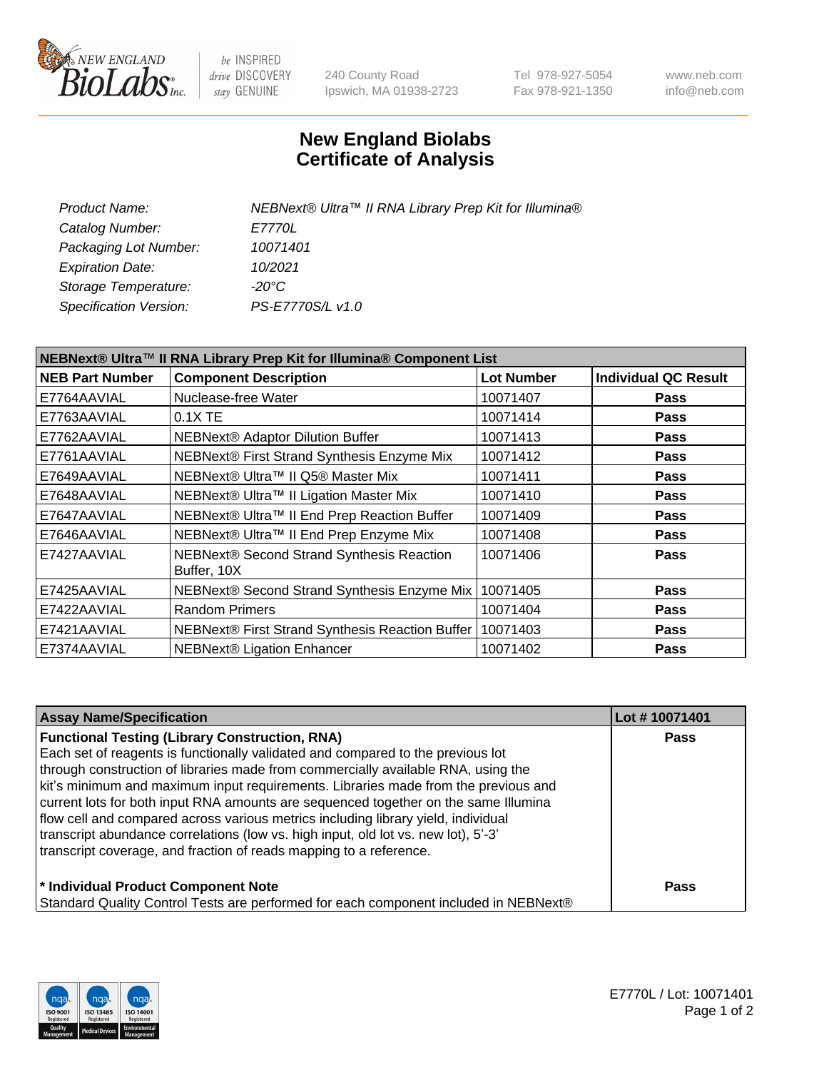

be INSPIRED drive DISCOVERY stay GENUINE

240 County Road Ipswich, MA 01938-2723 Tel 978-927-5054 Fax 978-921-1350 www.neb.com info@neb.com

## **New England Biolabs Certificate of Analysis**

| Product Name:           | NEBNext® Ultra™ II RNA Library Prep Kit for Illumina® |
|-------------------------|-------------------------------------------------------|
| Catalog Number:         | <i>E7770L</i>                                         |
| Packaging Lot Number:   | 10071401                                              |
| <b>Expiration Date:</b> | 10/2021                                               |
| Storage Temperature:    | -20°C                                                 |
| Specification Version:  | PS-E7770S/L v1.0                                      |
|                         |                                                       |

| NEBNext® Ultra™ II RNA Library Prep Kit for Illumina® Component List |                                                          |                   |                             |  |
|----------------------------------------------------------------------|----------------------------------------------------------|-------------------|-----------------------------|--|
| <b>NEB Part Number</b>                                               | <b>Component Description</b>                             | <b>Lot Number</b> | <b>Individual QC Result</b> |  |
| E7764AAVIAL                                                          | Nuclease-free Water                                      | 10071407          | Pass                        |  |
| E7763AAVIAL                                                          | 0.1X TE                                                  | 10071414          | <b>Pass</b>                 |  |
| E7762AAVIAL                                                          | NEBNext® Adaptor Dilution Buffer                         | 10071413          | <b>Pass</b>                 |  |
| E7761AAVIAL                                                          | NEBNext® First Strand Synthesis Enzyme Mix               | 10071412          | <b>Pass</b>                 |  |
| E7649AAVIAL                                                          | NEBNext® Ultra™ II Q5® Master Mix                        | 10071411          | <b>Pass</b>                 |  |
| E7648AAVIAL                                                          | NEBNext® Ultra™ II Ligation Master Mix                   | 10071410          | <b>Pass</b>                 |  |
| E7647AAVIAL                                                          | NEBNext® Ultra™ II End Prep Reaction Buffer              | 10071409          | <b>Pass</b>                 |  |
| E7646AAVIAL                                                          | NEBNext® Ultra™ II End Prep Enzyme Mix                   | 10071408          | Pass                        |  |
| E7427AAVIAL                                                          | NEBNext® Second Strand Synthesis Reaction<br>Buffer, 10X | 10071406          | <b>Pass</b>                 |  |
| E7425AAVIAL                                                          | NEBNext® Second Strand Synthesis Enzyme Mix              | 10071405          | Pass                        |  |
| E7422AAVIAL                                                          | <b>Random Primers</b>                                    | 10071404          | <b>Pass</b>                 |  |
| E7421AAVIAL                                                          | NEBNext® First Strand Synthesis Reaction Buffer          | 10071403          | <b>Pass</b>                 |  |
| E7374AAVIAL                                                          | <b>NEBNext® Ligation Enhancer</b>                        | 10071402          | <b>Pass</b>                 |  |

| <b>Assay Name/Specification</b>                                                      | Lot #10071401 |
|--------------------------------------------------------------------------------------|---------------|
| <b>Functional Testing (Library Construction, RNA)</b>                                | <b>Pass</b>   |
| Each set of reagents is functionally validated and compared to the previous lot      |               |
| through construction of libraries made from commercially available RNA, using the    |               |
| kit's minimum and maximum input requirements. Libraries made from the previous and   |               |
| current lots for both input RNA amounts are sequenced together on the same Illumina  |               |
| flow cell and compared across various metrics including library yield, individual    |               |
| transcript abundance correlations (low vs. high input, old lot vs. new lot), 5'-3'   |               |
| transcript coverage, and fraction of reads mapping to a reference.                   |               |
| * Individual Product Component Note                                                  | <b>Pass</b>   |
| Standard Quality Control Tests are performed for each component included in NEBNext® |               |